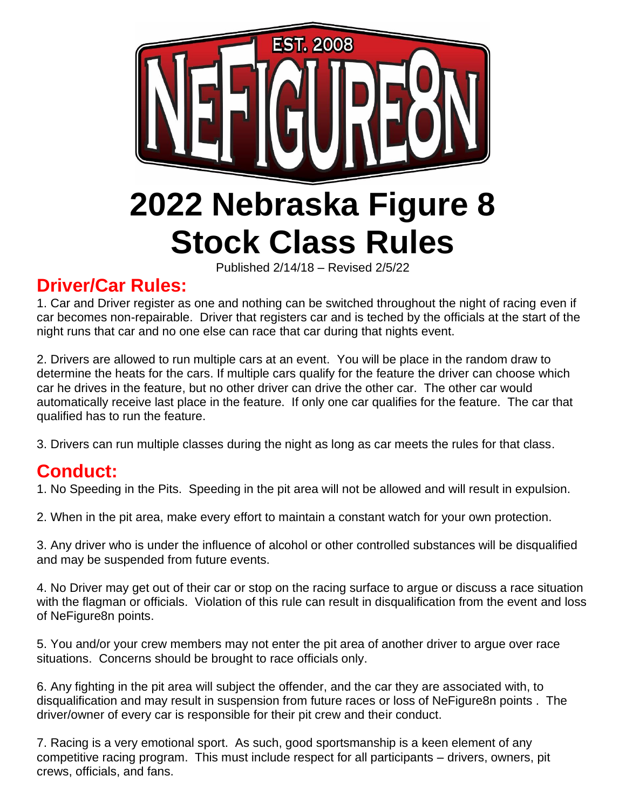

Published 2/14/18 – Revised 2/5/22

### **Driver/Car Rules:**

1. Car and Driver register as one and nothing can be switched throughout the night of racing even if car becomes non-repairable. Driver that registers car and is teched by the officials at the start of the night runs that car and no one else can race that car during that nights event.

2. Drivers are allowed to run multiple cars at an event. You will be place in the random draw to determine the heats for the cars. If multiple cars qualify for the feature the driver can choose which car he drives in the feature, but no other driver can drive the other car. The other car would automatically receive last place in the feature. If only one car qualifies for the feature. The car that qualified has to run the feature.

3. Drivers can run multiple classes during the night as long as car meets the rules for that class.

### **Conduct:**

1. No Speeding in the Pits. Speeding in the pit area will not be allowed and will result in expulsion.

2. When in the pit area, make every effort to maintain a constant watch for your own protection.

3. Any driver who is under the influence of alcohol or other controlled substances will be disqualified and may be suspended from future events.

4. No Driver may get out of their car or stop on the racing surface to argue or discuss a race situation with the flagman or officials. Violation of this rule can result in disqualification from the event and loss of NeFigure8n points.

5. You and/or your crew members may not enter the pit area of another driver to argue over race situations. Concerns should be brought to race officials only.

6. Any fighting in the pit area will subject the offender, and the car they are associated with, to disqualification and may result in suspension from future races or loss of NeFigure8n points . The driver/owner of every car is responsible for their pit crew and their conduct.

7. Racing is a very emotional sport. As such, good sportsmanship is a keen element of any competitive racing program. This must include respect for all participants – drivers, owners, pit crews, officials, and fans.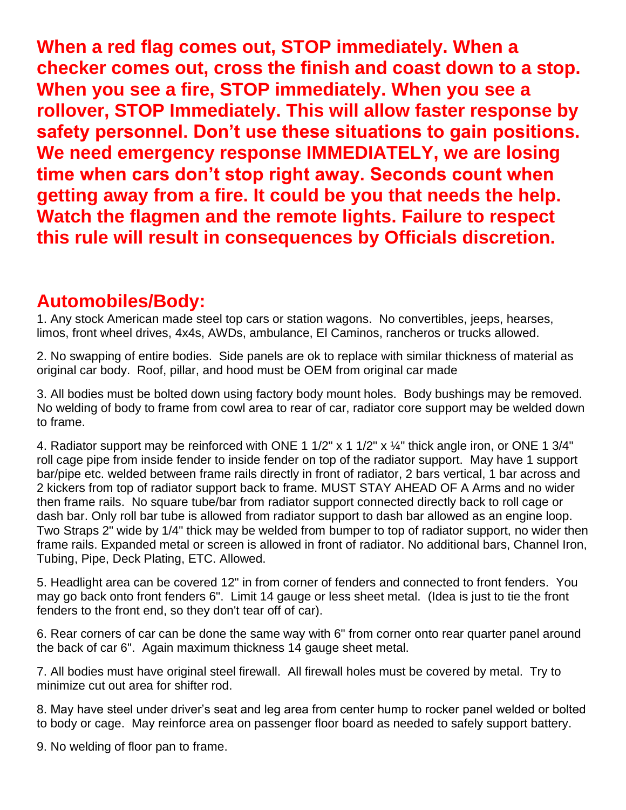**When a red flag comes out, STOP immediately. When a checker comes out, cross the finish and coast down to a stop. When you see a fire, STOP immediately. When you see a rollover, STOP Immediately. This will allow faster response by safety personnel. Don't use these situations to gain positions. We need emergency response IMMEDIATELY, we are losing time when cars don't stop right away. Seconds count when getting away from a fire. It could be you that needs the help. Watch the flagmen and the remote lights. Failure to respect this rule will result in consequences by Officials discretion.**

### **Automobiles/Body:**

1. Any stock American made steel top cars or station wagons. No convertibles, jeeps, hearses, limos, front wheel drives, 4x4s, AWDs, ambulance, El Caminos, rancheros or trucks allowed.

2. No swapping of entire bodies. Side panels are ok to replace with similar thickness of material as original car body. Roof, pillar, and hood must be OEM from original car made

3. All bodies must be bolted down using factory body mount holes. Body bushings may be removed. No welding of body to frame from cowl area to rear of car, radiator core support may be welded down to frame.

4. Radiator support may be reinforced with ONE 1 1/2" x 1 1/2" x 1/4" thick angle iron, or ONE 1 3/4" roll cage pipe from inside fender to inside fender on top of the radiator support. May have 1 support bar/pipe etc. welded between frame rails directly in front of radiator, 2 bars vertical, 1 bar across and 2 kickers from top of radiator support back to frame. MUST STAY AHEAD OF A Arms and no wider then frame rails. No square tube/bar from radiator support connected directly back to roll cage or dash bar. Only roll bar tube is allowed from radiator support to dash bar allowed as an engine loop. Two Straps 2" wide by 1/4" thick may be welded from bumper to top of radiator support, no wider then frame rails. Expanded metal or screen is allowed in front of radiator. No additional bars, Channel Iron, Tubing, Pipe, Deck Plating, ETC. Allowed.

5. Headlight area can be covered 12" in from corner of fenders and connected to front fenders. You may go back onto front fenders 6". Limit 14 gauge or less sheet metal. (Idea is just to tie the front fenders to the front end, so they don't tear off of car).

6. Rear corners of car can be done the same way with 6" from corner onto rear quarter panel around the back of car 6". Again maximum thickness 14 gauge sheet metal.

7. All bodies must have original steel firewall. All firewall holes must be covered by metal. Try to minimize cut out area for shifter rod.

8. May have steel under driver's seat and leg area from center hump to rocker panel welded or bolted to body or cage. May reinforce area on passenger floor board as needed to safely support battery.

9. No welding of floor pan to frame.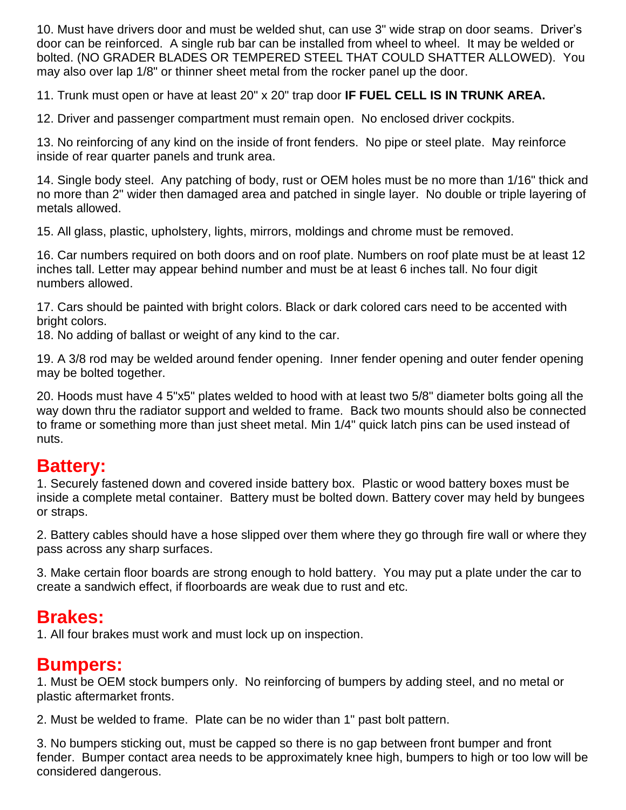10. Must have drivers door and must be welded shut, can use 3" wide strap on door seams. Driver's door can be reinforced. A single rub bar can be installed from wheel to wheel. It may be welded or bolted. (NO GRADER BLADES OR TEMPERED STEEL THAT COULD SHATTER ALLOWED). You may also over lap 1/8" or thinner sheet metal from the rocker panel up the door.

11. Trunk must open or have at least 20" x 20" trap door **IF FUEL CELL IS IN TRUNK AREA.**

12. Driver and passenger compartment must remain open. No enclosed driver cockpits.

13. No reinforcing of any kind on the inside of front fenders. No pipe or steel plate. May reinforce inside of rear quarter panels and trunk area.

14. Single body steel. Any patching of body, rust or OEM holes must be no more than 1/16" thick and no more than 2" wider then damaged area and patched in single layer. No double or triple layering of metals allowed.

15. All glass, plastic, upholstery, lights, mirrors, moldings and chrome must be removed.

16. Car numbers required on both doors and on roof plate. Numbers on roof plate must be at least 12 inches tall. Letter may appear behind number and must be at least 6 inches tall. No four digit numbers allowed.

17. Cars should be painted with bright colors. Black or dark colored cars need to be accented with bright colors.

18. No adding of ballast or weight of any kind to the car.

19. A 3/8 rod may be welded around fender opening. Inner fender opening and outer fender opening may be bolted together.

20. Hoods must have 4 5"x5" plates welded to hood with at least two 5/8" diameter bolts going all the way down thru the radiator support and welded to frame. Back two mounts should also be connected to frame or something more than just sheet metal. Min 1/4" quick latch pins can be used instead of nuts.

## **Battery:**

1. Securely fastened down and covered inside battery box. Plastic or wood battery boxes must be inside a complete metal container. Battery must be bolted down. Battery cover may held by bungees or straps.

2. Battery cables should have a hose slipped over them where they go through fire wall or where they pass across any sharp surfaces.

3. Make certain floor boards are strong enough to hold battery. You may put a plate under the car to create a sandwich effect, if floorboards are weak due to rust and etc.

# **Brakes:**

1. All four brakes must work and must lock up on inspection.

### **Bumpers:**

1. Must be OEM stock bumpers only. No reinforcing of bumpers by adding steel, and no metal or plastic aftermarket fronts.

2. Must be welded to frame. Plate can be no wider than 1" past bolt pattern.

3. No bumpers sticking out, must be capped so there is no gap between front bumper and front fender. Bumper contact area needs to be approximately knee high, bumpers to high or too low will be considered dangerous.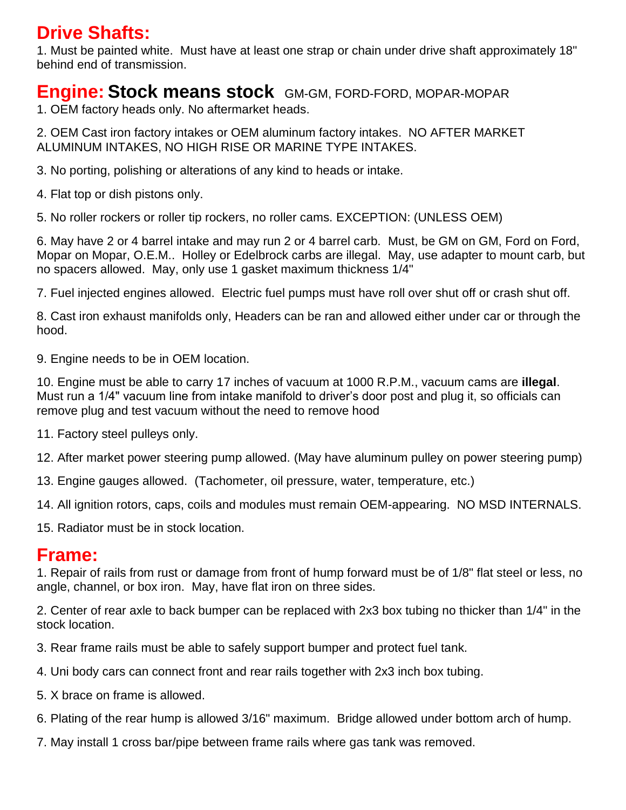## **Drive Shafts:**

1. Must be painted white. Must have at least one strap or chain under drive shaft approximately 18" behind end of transmission.

#### **Engine: Stock means stock** GM-GM, FORD-FORD, MOPAR-MOPAR

1. OEM factory heads only. No aftermarket heads.

2. OEM Cast iron factory intakes or OEM aluminum factory intakes. NO AFTER MARKET ALUMINUM INTAKES, NO HIGH RISE OR MARINE TYPE INTAKES.

3. No porting, polishing or alterations of any kind to heads or intake.

4. Flat top or dish pistons only.

5. No roller rockers or roller tip rockers, no roller cams. EXCEPTION: (UNLESS OEM)

6. May have 2 or 4 barrel intake and may run 2 or 4 barrel carb. Must, be GM on GM, Ford on Ford, Mopar on Mopar, O.E.M.. Holley or Edelbrock carbs are illegal. May, use adapter to mount carb, but no spacers allowed. May, only use 1 gasket maximum thickness 1/4"

7. Fuel injected engines allowed. Electric fuel pumps must have roll over shut off or crash shut off.

8. Cast iron exhaust manifolds only, Headers can be ran and allowed either under car or through the hood.

9. Engine needs to be in OEM location.

10. Engine must be able to carry 17 inches of vacuum at 1000 R.P.M., vacuum cams are **illegal**. Must run a 1/4" vacuum line from intake manifold to driver's door post and plug it, so officials can remove plug and test vacuum without the need to remove hood

11. Factory steel pulleys only.

12. After market power steering pump allowed. (May have aluminum pulley on power steering pump)

13. Engine gauges allowed. (Tachometer, oil pressure, water, temperature, etc.)

14. All ignition rotors, caps, coils and modules must remain OEM-appearing. NO MSD INTERNALS.

15. Radiator must be in stock location.

#### **Frame:**

1. Repair of rails from rust or damage from front of hump forward must be of 1/8" flat steel or less, no angle, channel, or box iron. May, have flat iron on three sides.

2. Center of rear axle to back bumper can be replaced with 2x3 box tubing no thicker than 1/4" in the stock location.

3. Rear frame rails must be able to safely support bumper and protect fuel tank.

4. Uni body cars can connect front and rear rails together with 2x3 inch box tubing.

5. X brace on frame is allowed.

6. Plating of the rear hump is allowed 3/16" maximum. Bridge allowed under bottom arch of hump.

7. May install 1 cross bar/pipe between frame rails where gas tank was removed.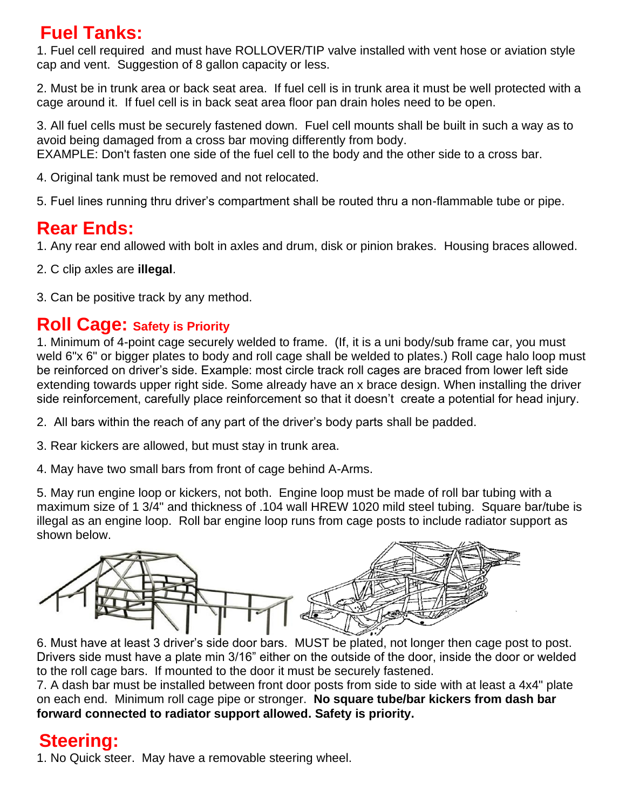# **Fuel Tanks:**

1. Fuel cell required and must have ROLLOVER/TIP valve installed with vent hose or aviation style cap and vent. Suggestion of 8 gallon capacity or less.

2. Must be in trunk area or back seat area. If fuel cell is in trunk area it must be well protected with a cage around it. If fuel cell is in back seat area floor pan drain holes need to be open.

3. All fuel cells must be securely fastened down. Fuel cell mounts shall be built in such a way as to avoid being damaged from a cross bar moving differently from body. EXAMPLE: Don't fasten one side of the fuel cell to the body and the other side to a cross bar.

4. Original tank must be removed and not relocated.

5. Fuel lines running thru driver's compartment shall be routed thru a non-flammable tube or pipe.

# **Rear Ends:**

1. Any rear end allowed with bolt in axles and drum, disk or pinion brakes. Housing braces allowed.

2. C clip axles are **illegal**.

3. Can be positive track by any method.

#### **Roll Cage: Safety is Priority**

1. Minimum of 4-point cage securely welded to frame. (If, it is a uni body/sub frame car, you must weld 6"x 6" or bigger plates to body and roll cage shall be welded to plates.) Roll cage halo loop must be reinforced on driver's side. Example: most circle track roll cages are braced from lower left side extending towards upper right side. Some already have an x brace design. When installing the driver side reinforcement, carefully place reinforcement so that it doesn't create a potential for head injury.

2. All bars within the reach of any part of the driver's body parts shall be padded.

3. Rear kickers are allowed, but must stay in trunk area.

4. May have two small bars from front of cage behind A-Arms.

5. May run engine loop or kickers, not both. Engine loop must be made of roll bar tubing with a maximum size of 1 3/4" and thickness of .104 wall HREW 1020 mild steel tubing. Square bar/tube is illegal as an engine loop. Roll bar engine loop runs from cage posts to include radiator support as shown below.



6. Must have at least 3 driver's side door bars. MUST be plated, not longer then cage post to post. Drivers side must have a plate min 3/16" either on the outside of the door, inside the door or welded to the roll cage bars. If mounted to the door it must be securely fastened.

7. A dash bar must be installed between front door posts from side to side with at least a 4x4" plate on each end. Minimum roll cage pipe or stronger. **No square tube/bar kickers from dash bar forward connected to radiator support allowed. Safety is priority.**

# **Steering:**

1. No Quick steer. May have a removable steering wheel.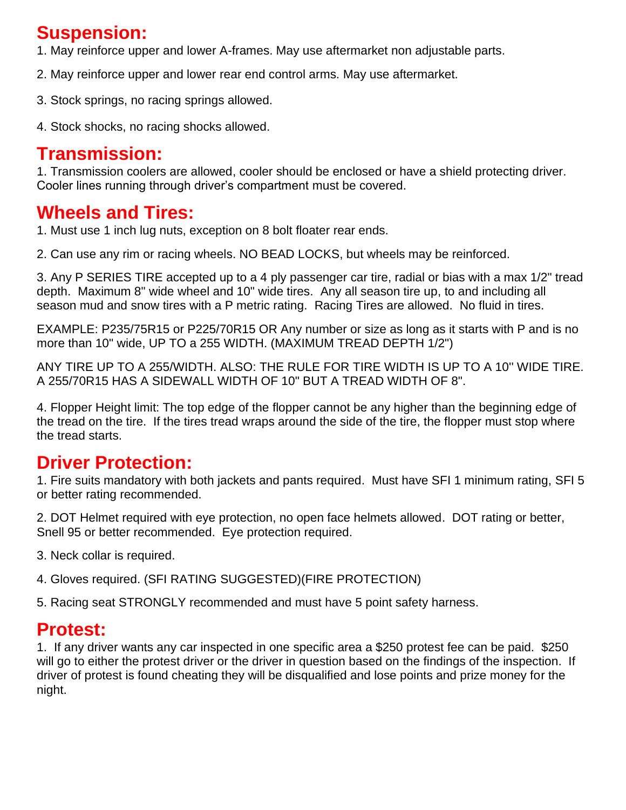## **Suspension:**

1. May reinforce upper and lower A-frames. May use aftermarket non adjustable parts.

- 2. May reinforce upper and lower rear end control arms. May use aftermarket.
- 3. Stock springs, no racing springs allowed.
- 4. Stock shocks, no racing shocks allowed.

### **Transmission:**

1. Transmission coolers are allowed, cooler should be enclosed or have a shield protecting driver. Cooler lines running through driver's compartment must be covered.

# **Wheels and Tires:**

1. Must use 1 inch lug nuts, exception on 8 bolt floater rear ends.

2. Can use any rim or racing wheels. NO BEAD LOCKS, but wheels may be reinforced.

3. Any P SERIES TIRE accepted up to a 4 ply passenger car tire, radial or bias with a max 1/2" tread depth. Maximum 8" wide wheel and 10" wide tires. Any all season tire up, to and including all season mud and snow tires with a P metric rating. Racing Tires are allowed. No fluid in tires.

EXAMPLE: P235/75R15 or P225/70R15 OR Any number or size as long as it starts with P and is no more than 10" wide, UP TO a 255 WIDTH. (MAXIMUM TREAD DEPTH 1/2")

ANY TIRE UP TO A 255/WIDTH. ALSO: THE RULE FOR TIRE WIDTH IS UP TO A 10'' WIDE TIRE. A 255/70R15 HAS A SIDEWALL WIDTH OF 10" BUT A TREAD WIDTH OF 8".

4. Flopper Height limit: The top edge of the flopper cannot be any higher than the beginning edge of the tread on the tire. If the tires tread wraps around the side of the tire, the flopper must stop where the tread starts.

# **Driver Protection:**

1. Fire suits mandatory with both jackets and pants required. Must have SFI 1 minimum rating, SFI 5 or better rating recommended.

2. DOT Helmet required with eye protection, no open face helmets allowed. DOT rating or better, Snell 95 or better recommended. Eye protection required.

3. Neck collar is required.

4. Gloves required. (SFI RATING SUGGESTED)(FIRE PROTECTION)

5. Racing seat STRONGLY recommended and must have 5 point safety harness.

## **Protest:**

1. If any driver wants any car inspected in one specific area a \$250 protest fee can be paid. \$250 will go to either the protest driver or the driver in question based on the findings of the inspection. If driver of protest is found cheating they will be disqualified and lose points and prize money for the night.